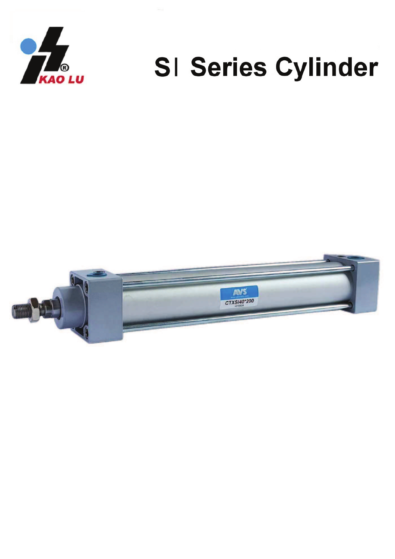

# SI Series Cylinder

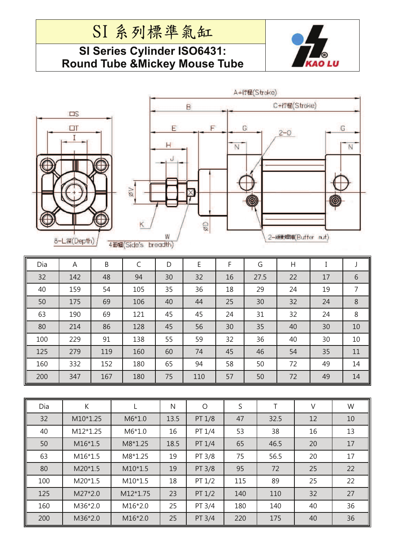### SI 系列標準氣缸

#### **SI Series Cylinder ISO6431: Round Tube &Mickey Mouse Tube**







| Dia | A   | B   | C   | D  | E   | F  | G    | Η  |    | J              |
|-----|-----|-----|-----|----|-----|----|------|----|----|----------------|
| 32  | 142 | 48  | 94  | 30 | 32  | 16 | 27.5 | 22 | 17 | 6              |
| 40  | 159 | 54  | 105 | 35 | 36  | 18 | 29   | 24 | 19 | $\overline{7}$ |
| 50  | 175 | 69  | 106 | 40 | 44  | 25 | 30   | 32 | 24 | 8              |
| 63  | 190 | 69  | 121 | 45 | 45  | 24 | 31   | 32 | 24 | 8              |
| 80  | 214 | 86  | 128 | 45 | 56  | 30 | 35   | 40 | 30 | 10             |
| 100 | 229 | 91  | 138 | 55 | 59  | 32 | 36   | 40 | 30 | 10             |
| 125 | 279 | 119 | 160 | 60 | 74  | 45 | 46   | 54 | 35 | 11             |
| 160 | 332 | 152 | 180 | 65 | 94  | 58 | 50   | 72 | 49 | 14             |
| 200 | 347 | 167 | 180 | 75 | 110 | 57 | 50   | 72 | 49 | 14             |

| Dia | K         |           | N    | O        | S   | Τ    | V  | W  |
|-----|-----------|-----------|------|----------|-----|------|----|----|
| 32  | M10*1.25  | $M6*1.0$  | 13.5 | PT 1/8   | 47  | 32.5 | 12 | 10 |
| 40  | M12*1.25  | $M6*1.0$  | 16   | PT 1/4   | 53  | 38   | 16 | 13 |
| 50  | $M16*1.5$ | $M8*1.25$ | 18.5 | PT 1/4   | 65  | 46.5 | 20 | 17 |
| 63  | $M16*1.5$ | M8*1.25   | 19   | PT 3/8   | 75  | 56.5 | 20 | 17 |
| 80  | $M20*1.5$ | $M10*1.5$ | 19   | PT 3/8   | 95  | 72   | 25 | 22 |
| 100 | $M20*1.5$ | $M10*1.5$ | 18   | PT $1/2$ | 115 | 89   | 25 | 22 |
| 125 | $M27*2.0$ | M12*1.75  | 23   | PT $1/2$ | 140 | 110  | 32 | 27 |
| 160 | M36*2.0   | $M16*2.0$ | 25   | PT 3/4   | 180 | 140  | 40 | 36 |
| 200 | M36*2.0   | $M16*2.0$ | 25   | PT 3/4   | 220 | 175  | 40 | 36 |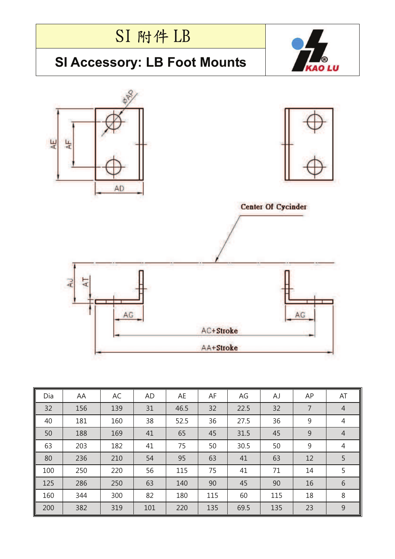

69.5

 $\overline{9}$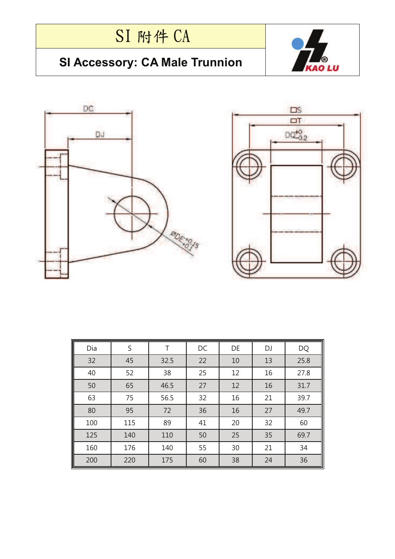# SI 附件 CA

#### **SI Accessory: CA Male Trunnion**







| Dia | S   | Τ    | DC | DE | DJ | DQ   |
|-----|-----|------|----|----|----|------|
| 32  | 45  | 32.5 | 22 | 10 | 13 | 25.8 |
| 40  | 52  | 38   | 25 | 12 | 16 | 27.8 |
| 50  | 65  | 46.5 | 27 | 12 | 16 | 31.7 |
| 63  | 75  | 56.5 | 32 | 16 | 21 | 39.7 |
| 80  | 95  | 72   | 36 | 16 | 27 | 49.7 |
| 100 | 115 | 89   | 41 | 20 | 32 | 60   |
| 125 | 140 | 110  | 50 | 25 | 35 | 69.7 |
| 160 | 176 | 140  | 55 | 30 | 21 | 34   |
| 200 | 220 | 175  | 60 | 38 | 24 | 36   |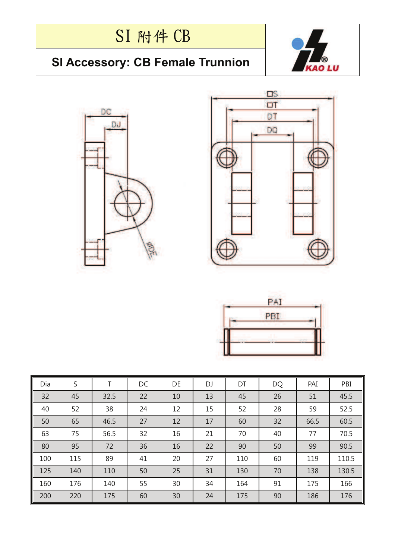# SI 附件 CB

### **SI Accessory: CB Female Trunnion**







| PAI        |  |
|------------|--|
| <b>PBI</b> |  |
|            |  |
|            |  |

| Dia | S   | т    | DC | DE | DJ | DT  | DQ | PAI  | PBI   |
|-----|-----|------|----|----|----|-----|----|------|-------|
| 32  | 45  | 32.5 | 22 | 10 | 13 | 45  | 26 | 51   | 45.5  |
| 40  | 52  | 38   | 24 | 12 | 15 | 52  | 28 | 59   | 52.5  |
| 50  | 65  | 46.5 | 27 | 12 | 17 | 60  | 32 | 66.5 | 60.5  |
| 63  | 75  | 56.5 | 32 | 16 | 21 | 70  | 40 | 77   | 70.5  |
| 80  | 95  | 72   | 36 | 16 | 22 | 90  | 50 | 99   | 90.5  |
| 100 | 115 | 89   | 41 | 20 | 27 | 110 | 60 | 119  | 110.5 |
| 125 | 140 | 110  | 50 | 25 | 31 | 130 | 70 | 138  | 130.5 |
| 160 | 176 | 140  | 55 | 30 | 34 | 164 | 91 | 175  | 166   |
| 200 | 220 | 175  | 60 | 30 | 24 | 175 | 90 | 186  | 176   |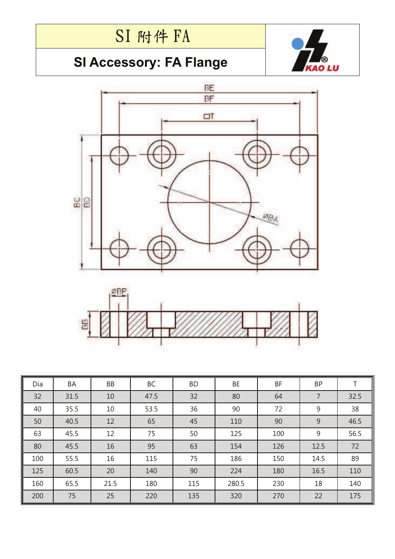## SI 附件 FA

### **SI Accessory: FA Flange**







| Dia | BA   | BB   | BC   | <b>BD</b> | BE    | BF  | <b>BP</b> |      |
|-----|------|------|------|-----------|-------|-----|-----------|------|
| 32  | 31.5 | 10   | 47.5 | 32        | 80    | 64  | 7         | 32.5 |
| 40  | 35.5 | 10   | 53.5 | 36        | 90    | 72  | 9         | 38   |
| 50  | 40.5 | 12   | 65   | 45        | 110   | 90  | 9         | 46.5 |
| 63  | 45.5 | 12   | 75   | 50        | 125   | 100 | 9         | 56.5 |
| 80  | 45.5 | 16   | 95   | 63        | 154   | 126 | 12.5      | 72   |
| 100 | 55.5 | 16   | 115  | 75        | 186   | 150 | 14.5      | 89   |
| 125 | 60.5 | 20   | 140  | 90        | 224   | 180 | 16.5      | 110  |
| 160 | 65.5 | 21.5 | 180  | 115       | 280.5 | 230 | 18        | 140  |
| 200 | 75   | 25   | 220  | 135       | 320   | 270 | 22        | 175  |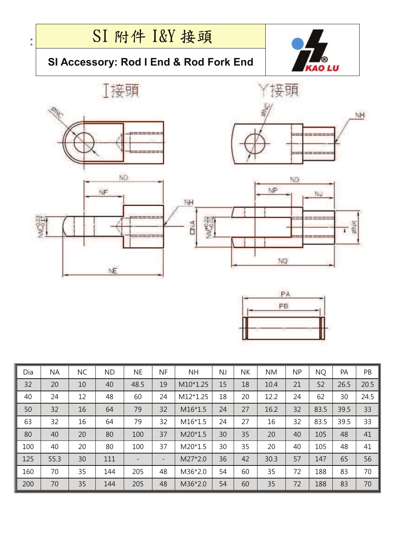

| Dia | <b>NA</b> | <b>NC</b> | <b>ND</b> | <b>NE</b> | <b>NF</b>                | <b>NH</b> | <b>NJ</b> | <b>NK</b> | <b>NM</b> | <b>NP</b> | <b>NQ</b> | PA   | PB   |
|-----|-----------|-----------|-----------|-----------|--------------------------|-----------|-----------|-----------|-----------|-----------|-----------|------|------|
| 32  | 20        | 10        | 40        | 48.5      | 19                       | M10*1.25  | 15        | 18        | 10.4      | 21        | 52        | 26.5 | 20.5 |
| 40  | 24        | 12        | 48        | 60        | 24                       | M12*1.25  | 18        | 20        | 12.2      | 24        | 62        | 30   | 24.5 |
| 50  | 32        | 16        | 64        | 79        | 32                       | $M16*1.5$ | 24        | 27        | 16.2      | 32        | 83.5      | 39.5 | 33   |
| 63  | 32        | 16        | 64        | 79        | 32                       | $M16*1.5$ | 24        | 27        | 16        | 32        | 83.5      | 39.5 | 33   |
| 80  | 40        | 20        | 80        | 100       | 37                       | $M20*1.5$ | 30        | 35        | 20        | 40        | 105       | 48   | 41   |
| 100 | 40        | 20        | 80        | 100       | 37                       | M20*1.5   | 30        | 35        | 20        | 40        | 105       | 48   | 41   |
| 125 | 55.3      | 30        | 111       |           | $\overline{\phantom{a}}$ | M27*2.0   | 36        | 42        | 30.3      | 57        | 147       | 65   | 56   |
| 160 | 70        | 35        | 144       | 205       | 48                       | M36*2.0   | 54        | 60        | 35        | 72        | 188       | 83   | 70   |
| 200 | 70        | 35        | 144       | 205       | 48                       | M36*2.0   | 54        | 60        | 35        | 72        | 188       | 83   | 70   |